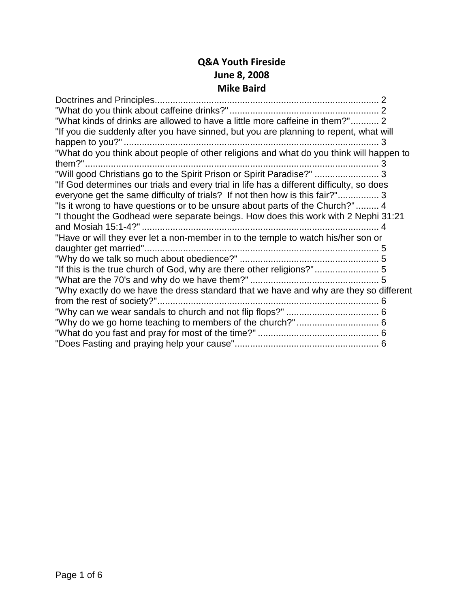#### **Q&A Youth Fireside June 8, 2008 Mike Baird**

| "What kinds of drinks are allowed to have a little more caffeine in them?" 2              |  |
|-------------------------------------------------------------------------------------------|--|
| "If you die suddenly after you have sinned, but you are planning to repent, what will     |  |
|                                                                                           |  |
| "What do you think about people of other religions and what do you think will happen to   |  |
|                                                                                           |  |
| "Will good Christians go to the Spirit Prison or Spirit Paradise?"  3                     |  |
| "If God determines our trials and every trial in life has a different difficulty, so does |  |
| everyone get the same difficulty of trials? If not then how is this fair?" 3              |  |
| "Is it wrong to have questions or to be unsure about parts of the Church?" 4              |  |
| "I thought the Godhead were separate beings. How does this work with 2 Nephi 31:21        |  |
|                                                                                           |  |
| "Have or will they ever let a non-member in to the temple to watch his/her son or         |  |
|                                                                                           |  |
|                                                                                           |  |
| "If this is the true church of God, why are there other religions?"5                      |  |
|                                                                                           |  |
| "Why exactly do we have the dress standard that we have and why are they so different     |  |
|                                                                                           |  |
|                                                                                           |  |
|                                                                                           |  |
|                                                                                           |  |
|                                                                                           |  |
|                                                                                           |  |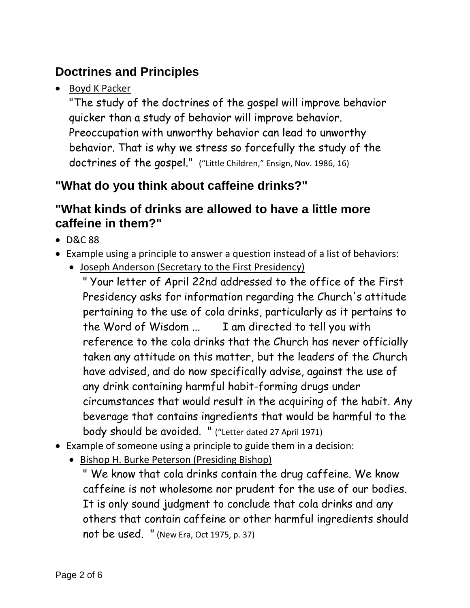# <span id="page-1-0"></span>**Doctrines and Principles**

• Boyd K Packer

"The study of the doctrines of the gospel will improve behavior quicker than a study of behavior will improve behavior. Preoccupation with unworthy behavior can lead to unworthy behavior. That is why we stress so forcefully the study of the doctrines of the gospel." ("Little Children," Ensign, Nov. 1986, 16)

# <span id="page-1-1"></span>**"What do you think about caffeine drinks?"**

#### <span id="page-1-2"></span>**"What kinds of drinks are allowed to have a little more caffeine in them?"**

- D&C 88
- Example using a principle to answer a question instead of a list of behaviors:
	- Joseph Anderson (Secretary to the First Presidency)

" Your letter of April 22nd addressed to the office of the First Presidency asks for information regarding the Church's attitude pertaining to the use of cola drinks, particularly as it pertains to the Word of Wisdom ... I am directed to tell you with reference to the cola drinks that the Church has never officially taken any attitude on this matter, but the leaders of the Church have advised, and do now specifically advise, against the use of any drink containing harmful habit-forming drugs under circumstances that would result in the acquiring of the habit. Any beverage that contains ingredients that would be harmful to the body should be avoided. " ("Letter dated 27 April 1971)

- Example of someone using a principle to guide them in a decision:
	- Bishop H. Burke Peterson (Presiding Bishop)

" We know that cola drinks contain the drug caffeine. We know caffeine is not wholesome nor prudent for the use of our bodies. It is only sound judgment to conclude that cola drinks and any others that contain caffeine or other harmful ingredients should not be used. " (New Era, Oct 1975, p. 37)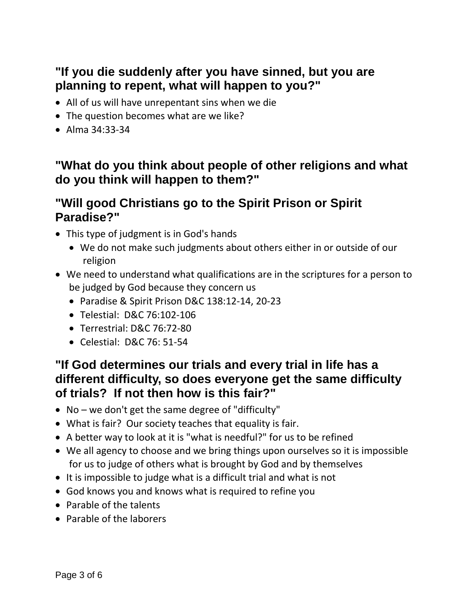## <span id="page-2-0"></span>**"If you die suddenly after you have sinned, but you are planning to repent, what will happen to you?"**

- All of us will have unrepentant sins when we die
- The question becomes what are we like?
- Alma 34:33-34

#### <span id="page-2-1"></span>**"What do you think about people of other religions and what do you think will happen to them?"**

#### <span id="page-2-2"></span>**"Will good Christians go to the Spirit Prison or Spirit Paradise?"**

- This type of judgment is in God's hands
	- We do not make such judgments about others either in or outside of our religion
- We need to understand what qualifications are in the scriptures for a person to be judged by God because they concern us
	- Paradise & Spirit Prison D&C 138:12-14, 20-23
	- Telestial: D&C 76:102-106
	- Terrestrial: D&C 76:72-80
	- Celestial: D&C 76: 51-54

#### <span id="page-2-3"></span>**"If God determines our trials and every trial in life has a different difficulty, so does everyone get the same difficulty of trials? If not then how is this fair?"**

- No we don't get the same degree of "difficulty"
- What is fair? Our society teaches that equality is fair.
- A better way to look at it is "what is needful?" for us to be refined
- We all agency to choose and we bring things upon ourselves so it is impossible for us to judge of others what is brought by God and by themselves
- It is impossible to judge what is a difficult trial and what is not
- God knows you and knows what is required to refine you
- Parable of the talents
- Parable of the laborers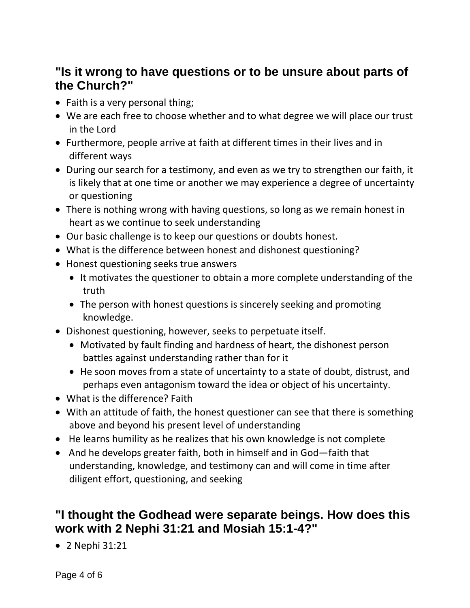### <span id="page-3-0"></span>**"Is it wrong to have questions or to be unsure about parts of the Church?"**

- Faith is a very personal thing;
- We are each free to choose whether and to what degree we will place our trust in the Lord
- Furthermore, people arrive at faith at different times in their lives and in different ways
- During our search for a testimony, and even as we try to strengthen our faith, it is likely that at one time or another we may experience a degree of uncertainty or questioning
- There is nothing wrong with having questions, so long as we remain honest in heart as we continue to seek understanding
- Our basic challenge is to keep our questions or doubts honest.
- What is the difference between honest and dishonest questioning?
- Honest questioning seeks true answers
	- It motivates the questioner to obtain a more complete understanding of the truth
	- The person with honest questions is sincerely seeking and promoting knowledge.
- Dishonest questioning, however, seeks to perpetuate itself.
	- Motivated by fault finding and hardness of heart, the dishonest person battles against understanding rather than for it
	- He soon moves from a state of uncertainty to a state of doubt, distrust, and perhaps even antagonism toward the idea or object of his uncertainty.
- What is the difference? Faith
- With an attitude of faith, the honest questioner can see that there is something above and beyond his present level of understanding
- He learns humility as he realizes that his own knowledge is not complete
- And he develops greater faith, both in himself and in God—faith that understanding, knowledge, and testimony can and will come in time after diligent effort, questioning, and seeking

## <span id="page-3-1"></span>**"I thought the Godhead were separate beings. How does this work with 2 Nephi 31:21 and Mosiah 15:1-4?"**

• 2 Nephi 31:21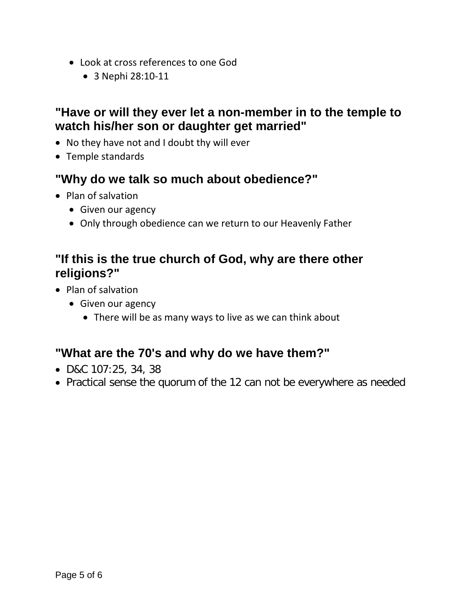- Look at cross references to one God
	- 3 Nephi 28:10-11

#### <span id="page-4-0"></span>**"Have or will they ever let a non-member in to the temple to watch his/her son or daughter get married"**

- No they have not and I doubt thy will ever
- Temple standards

#### <span id="page-4-1"></span>**"Why do we talk so much about obedience?"**

- Plan of salvation
	- Given our agency
	- Only through obedience can we return to our Heavenly Father

### <span id="page-4-2"></span>**"If this is the true church of God, why are there other religions?"**

- Plan of salvation
	- Given our agency
		- There will be as many ways to live as we can think about

### <span id="page-4-3"></span>**"What are the 70's and why do we have them?"**

- D&C 107:25, 34, 38
- Practical sense the quorum of the 12 can not be everywhere as needed